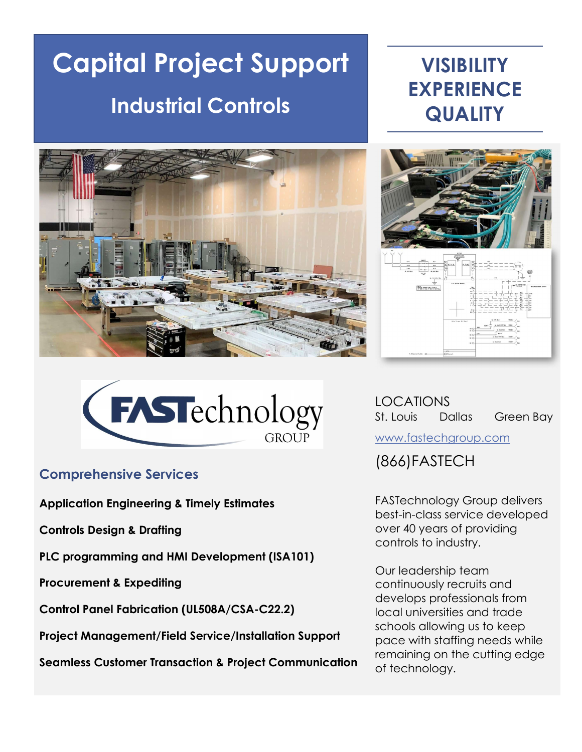# **Capital Project Support | CAPITAL VISIBILITY** Industrial Controls

# **EXPERIENCE QUALITY**







## Comprehensive Services

Application Engineering & Timely Estimates

Controls Design & Drafting

PLC programming and HMI Development (ISA101)

Procurement & Expediting

Control Panel Fabrication (UL508A/CSA-C22.2)

Project Management/Field Service/Installation Support

Seamless Customer Transaction & Project Communication

LOCATIONS St. Louis Dallas Green Bay

www.fastechgroup.com

(866)FASTECH

FASTechnology Group delivers best-in-class service developed over 40 years of providing controls to industry.

Our leadership team continuously recruits and develops professionals from local universities and trade schools allowing us to keep pace with staffing needs while remaining on the cutting edge of technology.